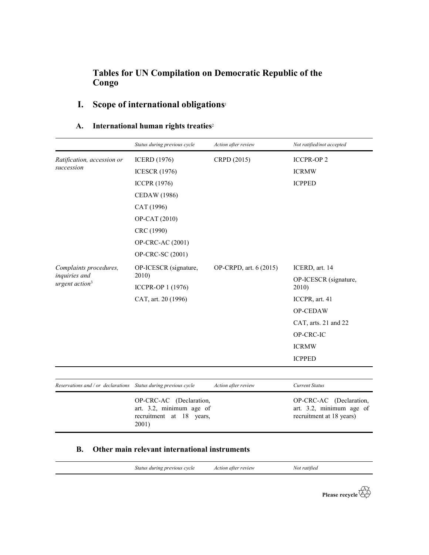## Tables for UN Compilation on Democratic Republic of the Congo

## I. Scope of international obligations<sup>1</sup>

|                                         | Status during previous cycle                                                                   | Action after review    | Not ratified/not accepted                                                       |
|-----------------------------------------|------------------------------------------------------------------------------------------------|------------------------|---------------------------------------------------------------------------------|
| Ratification, accession or              | <b>ICERD</b> (1976)                                                                            | CRPD (2015)            | <b>ICCPR-OP 2</b>                                                               |
| succession                              | <b>ICESCR</b> (1976)                                                                           |                        | <b>ICRMW</b>                                                                    |
|                                         | <b>ICCPR (1976)</b>                                                                            |                        | <b>ICPPED</b>                                                                   |
|                                         | CEDAW (1986)                                                                                   |                        |                                                                                 |
|                                         | CAT (1996)                                                                                     |                        |                                                                                 |
|                                         | OP-CAT (2010)                                                                                  |                        |                                                                                 |
|                                         | CRC (1990)                                                                                     |                        |                                                                                 |
|                                         | OP-CRC-AC (2001)                                                                               |                        |                                                                                 |
|                                         | OP-CRC-SC (2001)                                                                               |                        |                                                                                 |
| Complaints procedures,<br>inquiries and | OP-ICESCR (signature,                                                                          | OP-CRPD, art. 6 (2015) | ICERD, art. 14                                                                  |
|                                         | 2010)                                                                                          |                        | OP-ICESCR (signature,                                                           |
| urgent action <sup>3</sup>              | ICCPR-OP 1 (1976)                                                                              |                        | 2010                                                                            |
|                                         | CAT, art. 20 (1996)                                                                            |                        | ICCPR, art. 41                                                                  |
|                                         |                                                                                                |                        | OP-CEDAW                                                                        |
|                                         |                                                                                                |                        | CAT, arts. 21 and 22                                                            |
|                                         |                                                                                                |                        | OP-CRC-IC                                                                       |
|                                         |                                                                                                |                        | <b>ICRMW</b>                                                                    |
|                                         |                                                                                                |                        | <b>ICPPED</b>                                                                   |
|                                         |                                                                                                |                        |                                                                                 |
| Reservations and / or declarations      | Status during previous cycle                                                                   | Action after review    | <b>Current Status</b>                                                           |
|                                         | OP-CRC-AC (Declaration,<br>art. 3.2, minimum age of<br>recruitment<br>18 years,<br>at<br>2001) |                        | OP-CRC-AC (Declaration,<br>art. 3.2, minimum age of<br>recruitment at 18 years) |

## A. International human rights treaties<sup>2</sup>

#### B. Other main relevant international instruments

| Status during previous cycle | Action after review | Not ratified |
|------------------------------|---------------------|--------------|
|                              |                     |              |

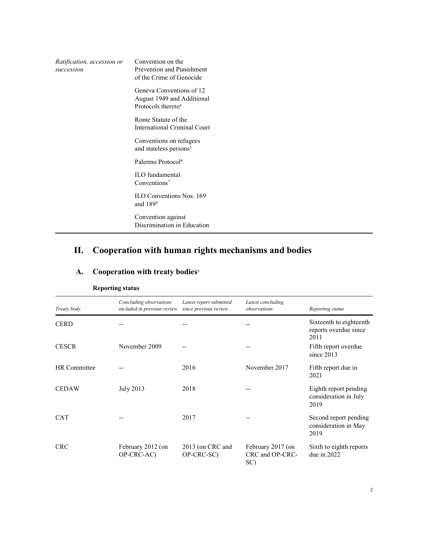| Ratification, accession or<br>succession | Convention on the<br>Prevention and Punishment<br>of the Crime of Genocide               |
|------------------------------------------|------------------------------------------------------------------------------------------|
|                                          | Geneva Conventions of 12<br>August 1949 and Additional<br>Protocols thereto <sup>4</sup> |
|                                          | Rome Statute of the<br>International Criminal Court                                      |
|                                          | Conventions on refugees<br>and stateless persons <sup>5</sup>                            |
|                                          | Palermo Protocol <sup>6</sup>                                                            |
|                                          | <b>ILO</b> fundamental<br>Conventions <sup>7</sup>                                       |
|                                          | <b>ILO Conventions Nos. 169</b><br>and 1898                                              |
|                                          | Convention against<br>Discrimination in Education                                        |

# II. Cooperation with human rights mechanisms and bodies

## A. Cooperation with treaty bodies<sup>9</sup>

| Treaty body  | Concluding observations<br>included in previous review | Latest report submitted<br>since previous review | Latest concluding<br>observations           | Reporting status                                         |
|--------------|--------------------------------------------------------|--------------------------------------------------|---------------------------------------------|----------------------------------------------------------|
| <b>CERD</b>  |                                                        |                                                  |                                             | Sixteenth to eighteenth<br>reports overdue since<br>2011 |
| <b>CESCR</b> | November 2009                                          |                                                  |                                             | Fifth report overdue<br>since $2013$                     |
| HR Committee |                                                        | 2016                                             | November 2017                               | Fifth report due in<br>2021                              |
| <b>CEDAW</b> | July 2013                                              | 2018                                             |                                             | Eighth report pending<br>consideration in July<br>2019   |
| <b>CAT</b>   |                                                        | 2017                                             |                                             | Second report pending<br>consideration in May<br>2019    |
| <b>CRC</b>   | February 2012 (on<br>OP-CRC-AC)                        | 2013 (on CRC and<br>OP-CRC-SC)                   | February 2017 (on<br>CRC and OP-CRC-<br>SC) | Sixth to eighth reports<br>due in $2022$                 |

#### Reporting status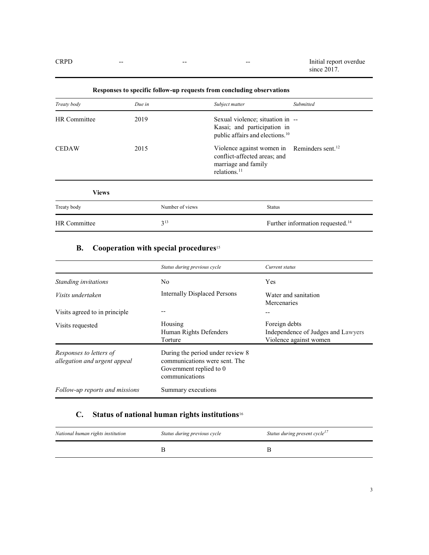CRPD -- - - - - - - - - - - - - - - Initial report overdue since 2017.

| Treaty body  | Due in |                 | Subject matter                                                                                                                             | Submitted                                    |
|--------------|--------|-----------------|--------------------------------------------------------------------------------------------------------------------------------------------|----------------------------------------------|
| HR Committee | 2019   |                 | Sexual violence; situation in --<br>Kasai; and participation in<br>public affairs and elections. <sup>10</sup>                             |                                              |
| <b>CEDAW</b> | 2015   |                 | Violence against women in Reminders sent. <sup>12</sup><br>conflict-affected areas; and<br>marriage and family<br>relations. <sup>11</sup> |                                              |
| <b>Views</b> |        |                 |                                                                                                                                            |                                              |
| Treaty body  |        | Number of views | <b>Status</b>                                                                                                                              |                                              |
| HR Committee |        | $3^{13}$        |                                                                                                                                            | Further information requested. <sup>14</sup> |

Responses to specific follow-up requests from concluding observations

#### **B.** Cooperation with special procedures<sup>15</sup>

|                                                         | Status during previous cycle                                                                                   | Current status                                                                |
|---------------------------------------------------------|----------------------------------------------------------------------------------------------------------------|-------------------------------------------------------------------------------|
| Standing invitations                                    | No                                                                                                             | Yes                                                                           |
| Visits undertaken                                       | <b>Internally Displaced Persons</b>                                                                            | Water and sanitation<br>Mercenaries                                           |
| Visits agreed to in principle                           |                                                                                                                |                                                                               |
| Visits requested                                        | Housing<br>Human Rights Defenders<br>Torture                                                                   | Foreign debts<br>Independence of Judges and Lawyers<br>Violence against women |
| Responses to letters of<br>allegation and urgent appeal | During the period under review 8<br>communications were sent. The<br>Government replied to 0<br>communications |                                                                               |
| Follow-up reports and missions                          | Summary executions                                                                                             |                                                                               |

## C. Status of national human rights institutions<sup>16</sup>

| National human rights institution | Status during previous cycle | Status during present cycle <sup>17</sup> |
|-----------------------------------|------------------------------|-------------------------------------------|
|                                   |                              |                                           |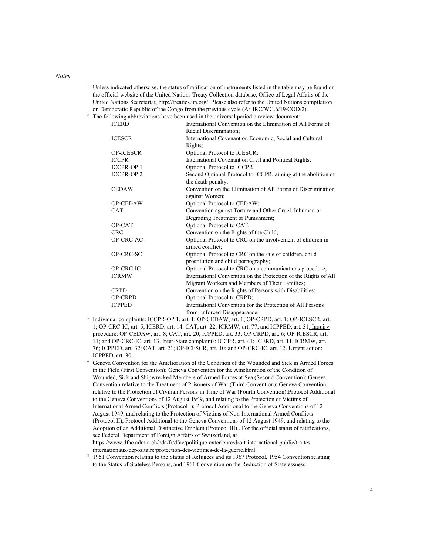#### Notes

- <sup>1</sup> Unless indicated otherwise, the status of ratification of instruments listed in the table may be found on the official website of the United Nations Treaty Collection database, Office of Legal Affairs of the United Nations Secretariat, http://treaties.un.org/. Please also refer to the United Nations compilation on Democratic Republic of the Congo from the previous cycle (A/HRC/WG.6/19/COD/2).
- <sup>2</sup> The following abbreviations have been used in the universal periodic review document:

| <b>ICERD</b>      | International Convention on the Elimination of All Forms of     |
|-------------------|-----------------------------------------------------------------|
|                   | Racial Discrimination;                                          |
| <b>ICESCR</b>     | International Covenant on Economic, Social and Cultural         |
|                   | Rights;                                                         |
| <b>OP-ICESCR</b>  | Optional Protocol to ICESCR;                                    |
| <b>ICCPR</b>      | International Covenant on Civil and Political Rights;           |
| <b>ICCPR-OP1</b>  | Optional Protocol to ICCPR;                                     |
| <b>ICCPR-OP 2</b> | Second Optional Protocol to ICCPR, aiming at the abolition of   |
|                   | the death penalty;                                              |
| <b>CEDAW</b>      | Convention on the Elimination of All Forms of Discrimination    |
|                   | against Women;                                                  |
| OP-CEDAW          | Optional Protocol to CEDAW;                                     |
| <b>CAT</b>        | Convention against Torture and Other Cruel, Inhuman or          |
|                   | Degrading Treatment or Punishment;                              |
| OP-CAT            | Optional Protocol to CAT;                                       |
| <b>CRC</b>        | Convention on the Rights of the Child;                          |
| OP-CRC-AC         | Optional Protocol to CRC on the involvement of children in      |
|                   | armed conflict;                                                 |
| OP-CRC-SC         | Optional Protocol to CRC on the sale of children, child         |
|                   | prostitution and child pornography;                             |
| OP-CRC-IC         | Optional Protocol to CRC on a communications procedure;         |
| <b>ICRMW</b>      | International Convention on the Protection of the Rights of All |
|                   | Migrant Workers and Members of Their Families;                  |
| <b>CRPD</b>       | Convention on the Rights of Persons with Disabilities;          |
| OP-CRPD           | Optional Protocol to CRPD;                                      |
| <b>ICPPED</b>     | International Convention for the Protection of All Persons      |
|                   | from Enforced Disappearance.                                    |

- <sup>3</sup> Individual complaints: ICCPR-OP 1, art. 1; OP-CEDAW, art. 1; OP-CRPD, art. 1; OP-ICESCR, art. 1; OP-CRC-IC, art. 5; ICERD, art. 14; CAT, art. 22; ICRMW, art. 77; and ICPPED, art. 31. Inquiry procedure: OP-CEDAW, art. 8; CAT, art. 20; ICPPED, art. 33; OP-CRPD, art. 6; OP-ICESCR, art. 11; and OP-CRC-IC, art. 13. Inter-State complaints: ICCPR, art. 41; ICERD, art. 11; ICRMW, art. 76; ICPPED, art. 32; CAT, art. 21; OP-ICESCR, art. 10; and OP-CRC-IC, art. 12. Urgent action: ICPPED, art. 30.
- 4 Geneva Convention for the Amelioration of the Condition of the Wounded and Sick in Armed Forces in the Field (First Convention); Geneva Convention for the Amelioration of the Condition of Wounded, Sick and Shipwrecked Members of Armed Forces at Sea (Second Convention); Geneva Convention relative to the Treatment of Prisoners of War (Third Convention); Geneva Convention relative to the Protection of Civilian Persons in Time of War (Fourth Convention);Protocol Additional to the Geneva Conventions of 12 August 1949, and relating to the Protection of Victims of International Armed Conflicts (Protocol I); Protocol Additional to the Geneva Conventions of 12 August 1949, and relating to the Protection of Victims of Non-International Armed Conflicts (Protocol II); Protocol Additional to the Geneva Conventions of 12 August 1949, and relating to the Adoption of an Additional Distinctive Emblem (Protocol III).. For the official status of ratifications, see Federal Department of Foreign Affairs of Switzerland, at https://www.dfae.admin.ch/eda/fr/dfae/politique-exterieure/droit-international-public/traitesinternationaux/depositaire/protection-des-victimes-de-la-guerre.html
- 5 1951 Convention relating to the Status of Refugees and its 1967 Protocol, 1954 Convention relating to the Status of Stateless Persons, and 1961 Convention on the Reduction of Statelessness.